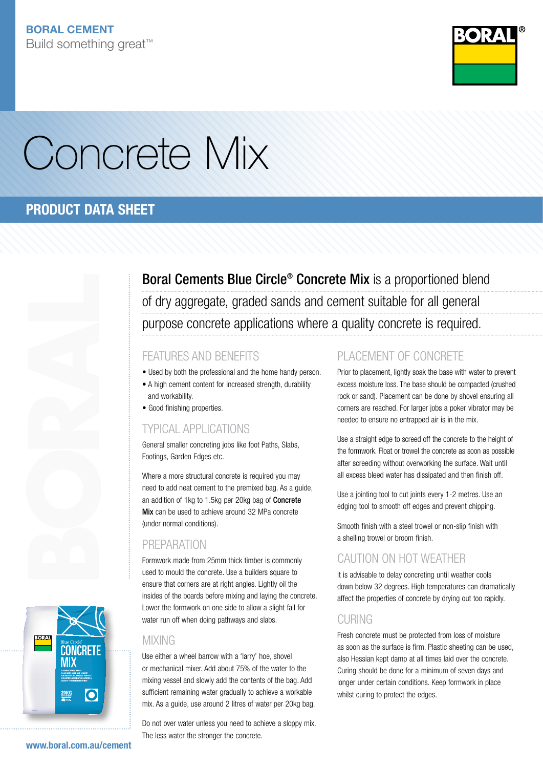

# Concrete Mix

## PRODUCT DATA SHEET





Boral Cements Blue Circle<sup>®</sup> Concrete Mix is a proportioned blend of dry aggregate, graded sands and cement suitable for all general purpose concrete applications where a quality concrete is required.

### FEATURES AND BENEFITS

- Used by both the professional and the home handy person.
- A high cement content for increased strength, durability and workability.
- Good finishing properties.

### Typical Applications

General smaller concreting jobs like foot Paths, Slabs, Footings, Garden Edges etc.

Where a more structural concrete is required you may need to add neat cement to the premixed bag. As a guide, an addition of 1kg to 1.5kg per 20kg bag of Concrete Mix can be used to achieve around 32 MPa concrete (under normal conditions).

### **PREPARATION**

Formwork made from 25mm thick timber is commonly used to mould the concrete. Use a builders square to ensure that corners are at right angles. Lightly oil the insides of the boards before mixing and laying the concrete. Lower the formwork on one side to allow a slight fall for water run off when doing pathways and slabs.

### **MIXING**

Use either a wheel barrow with a 'larry' hoe, shovel or mechanical mixer. Add about 75% of the water to the mixing vessel and slowly add the contents of the bag. Add sufficient remaining water gradually to achieve a workable mix. As a guide, use around 2 litres of water per 20kg bag.

Do not over water unless you need to achieve a sloppy mix. The less water the stronger the concrete.

### PLACEMENT OF CONCRETE

Prior to placement, lightly soak the base with water to prevent excess moisture loss. The base should be compacted (crushed rock or sand). Placement can be done by shovel ensuring all corners are reached. For larger jobs a poker vibrator may be needed to ensure no entrapped air is in the mix.

Use a straight edge to screed off the concrete to the height of the formwork. Float or trowel the concrete as soon as possible after screeding without overworking the surface. Wait until all excess bleed water has dissipated and then finish off.

Use a jointing tool to cut joints every 1-2 metres. Use an edging tool to smooth off edges and prevent chipping.

Smooth finish with a steel trowel or non-slip finish with a shelling trowel or broom finish.

### Caution on hot weather

It is advisable to delay concreting until weather cools down below 32 degrees. High temperatures can dramatically affect the properties of concrete by drying out too rapidly.

### CURING

Fresh concrete must be protected from loss of moisture as soon as the surface is firm. Plastic sheeting can be used, also Hessian kept damp at all times laid over the concrete. Curing should be done for a minimum of seven days and longer under certain conditions. Keep formwork in place whilst curing to protect the edges.